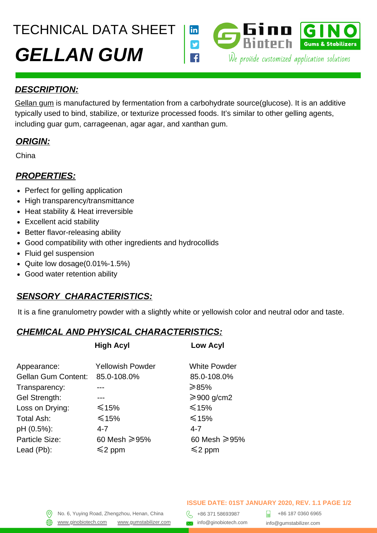TECHNICAL DATA SHEET



#### *DESCRIPTION:*

[Gellan gum](https://gumstabilizer.com/products/gellan-gum/) is manufactured by fermentation from a carbohydrate source(glucose). It is an additive typically used to bind, stabilize, or texturize processed foods. It's similar to other gelling agents, including guar gum, carrageenan, agar agar, and xanthan gum.

## *ORIGIN:*

China

#### *PROPERTIES:*

- Perfect for gelling application
- High transparency/transmittance
- Heat stability & Heat irreversible
- Excellent acid stability
- Better flavor-releasing ability
- Good compatibility with other ingredients and hydrocollids
- Fluid gel suspension
- Quite low dosage $(0.01\% 1.5\%)$
- Good water retention ability

## *SENSORY CHARACTERISTICS:*

It is a fine granulometry powder with a slightly white or yellowish color and neutral odor and taste.

## *CHEMICAL AND PHYSICAL CHARACTERISTICS:*

|                                    | <b>Low Acyl</b>       |
|------------------------------------|-----------------------|
| <b>Yellowish Powder</b>            | <b>White Powder</b>   |
| 85.0-108.0%<br>Gellan Gum Content: | 85.0-108.0%           |
|                                    | ≥85%                  |
|                                    | $\geqslant$ 900 g/cm2 |
| $≤15\%$                            | $\leq 15\%$           |
| $\leq 15\%$                        | $\leq 15\%$           |
| 4-7                                | 4-7                   |
| 60 Mesh ≥95%                       | 60 Mesh ≥95%          |
| $\leq$ 2 ppm                       | $\leq$ 2 ppm          |
|                                    | <b>High Acyl</b>      |

#### **ISSUE DATE: 01ST JANUARY 2020, REV. 1.1 PAGE 1/2**

+86 187 0360 6965 info@gumstabilizer.com